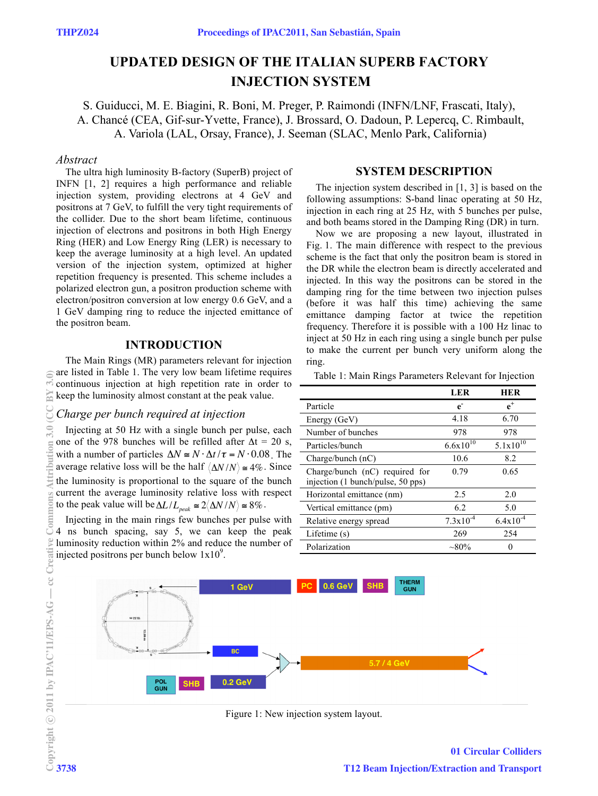# **UPDATED DESIGN OF THE ITALIAN SUPERB FACTORY INJECTION SYSTEM**

S. Guiducci, M. E. Biagini, R. Boni, M. Preger, P. Raimondi (INFN/LNF, Frascati, Italy), A. Chancé (CEA, Gif-sur-Yvette, France), J. Brossard, O. Dadoun, P. Lepercq, C. Rimbault, A. Variola (LAL, Orsay, France), J. Seeman (SLAC, Menlo Park, California)

## *Abstract*

The ultra high luminosity B-factory (SuperB) project of INFN [1, 2] requires a high performance and reliable injection system, providing electrons at 4 GeV and positrons at 7 GeV, to fulfill the very tight requirements of the collider. Due to the short beam lifetime, continuous injection of electrons and positrons in both High Energy Ring (HER) and Low Energy Ring (LER) is necessary to keep the average luminosity at a high level. An updated version of the injection system, optimized at higher repetition frequency is presented. This scheme includes a polarized electron gun, a positron production scheme with electron/positron conversion at low energy 0.6 GeV, and a 1 GeV damping ring to reduce the injected emittance of the positron beam.

# **INTRODUCTION**

The Main Rings (MR) parameters relevant for injection are listed in Table 1. The very low beam lifetime requires continuous injection at high repetition rate in order to keep the luminosity almost constant at the peak value.

#### *Charge per bunch required at injection*

Injecting at 50 Hz with a single bunch per pulse, each one of the 978 bunches will be refilled after  $\Delta t = 20$  s, with a number of particles  $\Delta N \cong N \cdot \Delta t / \tau = N \cdot 0.08$ . The average relative loss will be the half  $\langle \Delta N/N \rangle \approx 4\%$ . Since the luminosity is proportional to the square of the bunch current the average luminosity relative loss with respect to the peak value will be  $\Delta L / L_{peak} \approx 2 \langle \Delta N / N \rangle \approx 8\%$ .

Injecting in the main rings few bunches per pulse with 4 ns bunch spacing, say 5, we can keep the peak luminosity reduction within 2% and reduce the number of injected positrons per bunch below  $1x10<sup>9</sup>$ .

## **SYSTEM DESCRIPTION**

The injection system described in [1, 3] is based on the following assumptions: S-band linac operating at 50 Hz, injection in each ring at 25 Hz, with 5 bunches per pulse, and both beams stored in the Damping Ring (DR) in turn.

Now we are proposing a new layout, illustrated in Fig. 1. The main difference with respect to the previous scheme is the fact that only the positron beam is stored in the DR while the electron beam is directly accelerated and injected. In this way the positrons can be stored in the damping ring for the time between two injection pulses (before it was half this time) achieving the same emittance damping factor at twice the repetition frequency. Therefore it is possible with a 100 Hz linac to inject at 50 Hz in each ring using a single bunch per pulse to make the current per bunch very uniform along the ring.

Table 1: Main Rings Parameters Relevant for Injection

|                                                                     | <b>LER</b>           | <b>HER</b>     |
|---------------------------------------------------------------------|----------------------|----------------|
| Particle                                                            | $\mathbf{e}$         | $\mathbf{e}^+$ |
| Energy (GeV)                                                        | 4.18                 | 6.70           |
| Number of bunches                                                   | 978                  | 978            |
| Particles/bunch                                                     | $6.6x10^{10}$        | $5.1x10^{10}$  |
| Charge/bunch $(nC)$                                                 | 10.6                 | 8.2            |
| Charge/bunch (nC) required for<br>injection (1 bunch/pulse, 50 pps) | 0.79                 | 0.65           |
| Horizontal emittance (nm)                                           | 2.5                  | 2.0            |
| Vertical emittance (pm)                                             | 6.2                  | 5.0            |
| Relative energy spread                                              | $7.3 \times 10^{-4}$ | $6.4x10^{-4}$  |
| Lifetime $(s)$                                                      | 269                  | 254            |
| Polarization                                                        | $\sim 80\%$          |                |



Figure 1: New injection system layout.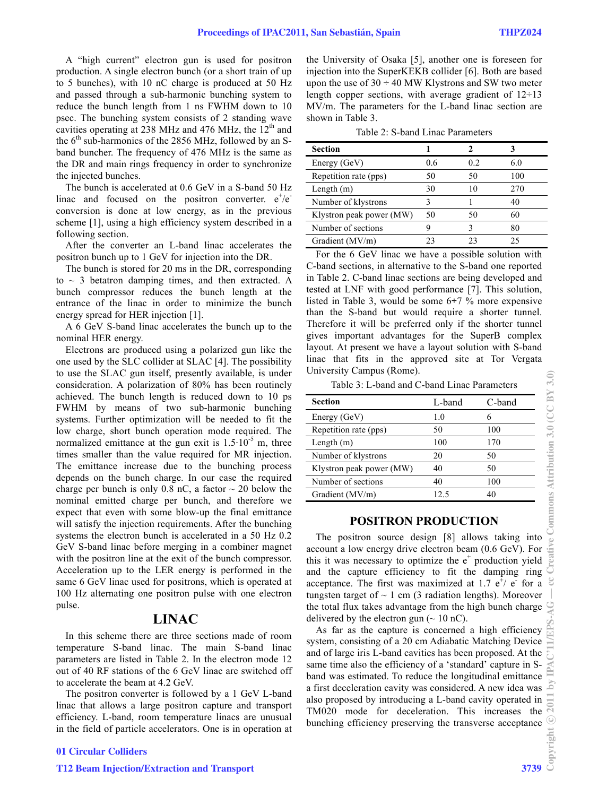A "high current" electron gun is used for positron production. A single electron bunch (or a short train of up to 5 bunches), with 10 nC charge is produced at 50 Hz and passed through a sub-harmonic bunching system to reduce the bunch length from 1 ns FWHM down to 10 psec. The bunching system consists of 2 standing wave cavities operating at 238 MHz and 476 MHz, the  $12<sup>th</sup>$  and the  $6<sup>th</sup>$  sub-harmonics of the 2856 MHz, followed by an Sband buncher. The frequency of 476 MHz is the same as the DR and main rings frequency in order to synchronize the injected bunches.

The bunch is accelerated at 0.6 GeV in a S-band 50 Hz linac and focused on the positron converter.  $e^+/e^$ conversion is done at low energy, as in the previous scheme [1], using a high efficiency system described in a following section.

After the converter an L-band linac accelerates the positron bunch up to 1 GeV for injection into the DR.

The bunch is stored for 20 ms in the DR, corresponding to  $\sim$  3 betatron damping times, and then extracted. A bunch compressor reduces the bunch length at the entrance of the linac in order to minimize the bunch energy spread for HER injection [1].

A 6 GeV S-band linac accelerates the bunch up to the nominal HER energy.

Electrons are produced using a polarized gun like the one used by the SLC collider at SLAC [4]. The possibility to use the SLAC gun itself, presently available, is under consideration. A polarization of 80% has been routinely achieved. The bunch length is reduced down to 10 ps FWHM by means of two sub-harmonic bunching systems. Further optimization will be needed to fit the low charge, short bunch operation mode required. The normalized emittance at the gun exit is  $1.5 \cdot 10^{-5}$  m, three times smaller than the value required for MR injection. The emittance increase due to the bunching process depends on the bunch charge. In our case the required charge per bunch is only 0.8 nC, a factor  $\sim$  20 below the nominal emitted charge per bunch, and therefore we expect that even with some blow-up the final emittance will satisfy the injection requirements. After the bunching systems the electron bunch is accelerated in a 50 Hz 0.2 GeV S-band linac before merging in a combiner magnet with the positron line at the exit of the bunch compressor. Acceleration up to the LER energy is performed in the same 6 GeV linac used for positrons, which is operated at 100 Hz alternating one positron pulse with one electron pulse.

# **LINAC**

In this scheme there are three sections made of room temperature S-band linac. The main S-band linac parameters are listed in Table 2. In the electron mode 12 out of 40 RF stations of the 6 GeV linac are switched off to accelerate the beam at 4.2 GeV.

The positron converter is followed by a 1 GeV L-band linac that allows a large positron capture and transport efficiency. L-band, room temperature linacs are unusual in the field of particle accelerators. One is in operation at the University of Osaka [5], another one is foreseen for injection into the SuperKEKB collider [6]. Both are based upon the use of  $30 \div 40$  MW Klystrons and SW two meter length copper sections, with average gradient of  $12 \div 13$ MV/m. The parameters for the L-band linac section are shown in Table 3.

Table 2: S-band Linac Parameters

| <b>Section</b>           |     |     |     |
|--------------------------|-----|-----|-----|
| Energy (GeV)             | 0.6 | 0.2 | 6.0 |
| Repetition rate (pps)    | 50  | 50  | 100 |
| Length $(m)$             | 30  |     | 270 |
| Number of klystrons      |     |     | 40  |
| Klystron peak power (MW) | 50  | 50  | 60  |
| Number of sections       |     |     | 80  |
| Gradient (MV/m)          | 23  |     | 25  |

For the 6 GeV linac we have a possible solution with C-band sections, in alternative to the S-band one reported in Table 2. C-band linac sections are being developed and tested at LNF with good performance [7]. This solution, listed in Table 3, would be some  $6\div 7$  % more expensive than the S-band but would require a shorter tunnel. Therefore it will be preferred only if the shorter tunnel gives important advantages for the SuperB complex layout. At present we have a layout solution with S-band linac that fits in the approved site at Tor Vergata University Campus (Rome).

Table 3: L-band and C-band Linac Parameters

| <b>Section</b>           | L-band | C-band |
|--------------------------|--------|--------|
| Energy (GeV)             | 1.0    |        |
| Repetition rate (pps)    | 50     | 100    |
| Length $(m)$             | 100    | 170    |
| Number of klystrons      | 20     | 50     |
| Klystron peak power (MW) | 40     | 50     |
| Number of sections       | 40     | 100    |
| Gradient (MV/m)          | 12.5   | 40     |

#### **POSITRON PRODUCTION**

The positron source design [8] allows taking into account a low energy drive electron beam (0.6 GeV). For this it was necessary to optimize the  $e^+$  production yield and the capture efficiency to fit the damping ring acceptance. The first was maximized at 1.7  $e^{\frac{1}{r}}$  e for a tungsten target of  $\sim$  1 cm (3 radiation lengths). Moreover the total flux takes advantage from the high bunch charge delivered by the electron gun  $({\sim} 10 \text{ nC})$ .

As far as the capture is concerned a high efficiency system, consisting of a 20 cm Adiabatic Matching Device and of large iris L-band cavities has been proposed. At the same time also the efficiency of a 'standard' capture in Sband was estimated. To reduce the longitudinal emittance a first deceleration cavity was considered. A new idea was also proposed by introducing a L-band cavity operated in TM020 mode for deceleration. This increases the bunching efficiency preserving the transverse acceptance  $\frac{1}{2}$ <br> $\frac{1}{2}$ <br>3739  $\frac{3}{2}$